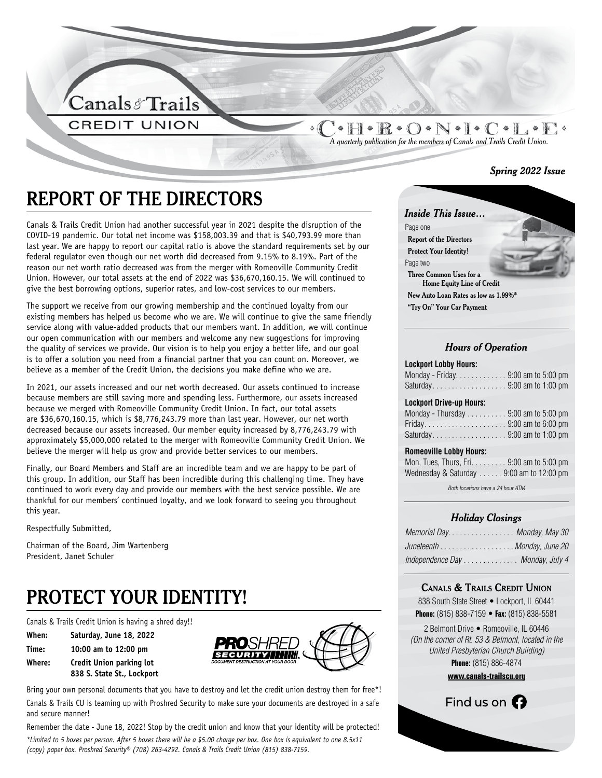

 $\bullet$  H  $\bullet$  R  $\bullet$  O  $\bullet$  N  $\bullet$  I  $\bullet$  C  $\bullet$  I  $\bullet$  E  $\circ$ *A quarterly publication for the members of Canals and Trails Credit Union.*

#### *Spring 2022 Issue*

# **REPORT OF THE DIRECTORS**

Canals & Trails Credit Union had another successful year in 2021 despite the disruption of the COVID-19 pandemic. Our total net income was \$158,003.39 and that is \$40,793.99 more than last year. We are happy to report our capital ratio is above the standard requirements set by our federal regulator even though our net worth did decreased from 9.15% to 8.19%. Part of the reason our net worth ratio decreased was from the merger with Romeoville Community Credit Union. However, our total assets at the end of 2022 was \$36,670,160.15. We will continued to give the best borrowing options, superior rates, and low-cost services to our members.

The support we receive from our growing membership and the continued loyalty from our existing members has helped us become who we are. We will continue to give the same friendly service along with value-added products that our members want. In addition, we will continue our open communication with our members and welcome any new suggestions for improving the quality of services we provide. Our vision is to help you enjoy a better life, and our goal is to offer a solution you need from a financial partner that you can count on. Moreover, we believe as a member of the Credit Union, the decisions you make define who we are.

In 2021, our assets increased and our net worth decreased. Our assets continued to increase because members are still saving more and spending less. Furthermore, our assets increased because we merged with Romeoville Community Credit Union. In fact, our total assets are \$36,670,160.15, which is \$8,776,243.79 more than last year. However, our net worth decreased because our assets increased. Our member equity increased by 8,776,243.79 with approximately \$5,000,000 related to the merger with Romeoville Community Credit Union. We believe the merger will help us grow and provide better services to our members.

Finally, our Board Members and Staff are an incredible team and we are happy to be part of this group. In addition, our Staff has been incredible during this challenging time. They have continued to work every day and provide our members with the best service possible. We are thankful for our members' continued loyalty, and we look forward to seeing you throughout this year.

Respectfully Submitted,

Chairman of the Board, Jim Wartenberg President, Janet Schuler

# **PROTECT YOUR IDENTITY!**

Canals & Trails Credit Union is having a shred day!!

| When:  | Saturday, June 18, 2022    |
|--------|----------------------------|
| Time:  | 10:00 am to 12:00 pm       |
| Where: | Credit Union parking lot   |
|        | 838 S. State St., Lockport |



Bring your own personal documents that you have to destroy and let the credit union destroy them for free\*! Canals & Trails CU is teaming up with Proshred Security to make sure your documents are destroyed in a safe and secure manner!

Remember the date - June 18, 2022! Stop by the credit union and know that your identity will be protected! *\*Limited to 5 boxes per person. After 5 boxes there will be a \$5.00 charge per box. One box is equivalent to one 8.5x11 (copy) paper box. Proshred Security® (708) 263-4292. Canals & Trails Credit Union (815) 838-7159.*



### *Hours of Operation*

#### **Lockport Lobby Hours:**

| Monday - Friday9:00 am to 5:00 pm<br>Saturday9:00 am to 1:00 pm |  |
|-----------------------------------------------------------------|--|
| <b>Lockport Drive-up Hours:</b>                                 |  |
| Monday - Thursday $\ldots \ldots \ldots$ 9:00 am to 5:00 pm     |  |
|                                                                 |  |
|                                                                 |  |
| <b>Romeoville Lobby Hours:</b>                                  |  |

| Mon, Tues, Thurs, Fri. 9:00 am to 5:00 pm                |
|----------------------------------------------------------|
| Wednesday & Saturday $\ldots \ldots 9:00$ am to 12:00 pm |

Both locations have a 24 hour ATM

#### *Holiday Closings*

| Memorial Day. Monday, May 30     |  |
|----------------------------------|--|
| Juneteenth Monday, June 20       |  |
| Independence Day  Monday, July 4 |  |

#### **Canals & Trails Credit Union**

| 838 South State Street • Lockport, IL 60441        |  |  |
|----------------------------------------------------|--|--|
| <b>Phone:</b> (815) 838-7159 • Fax: (815) 838-5581 |  |  |

2 Belmont Drive • Romeoville, IL 60446 *(On the corner of Rt. 53 & Belmont, located in the United Presbyterian Church Building)* **Phone:** (815) 886-4874

**www.canals-trailscu.org**